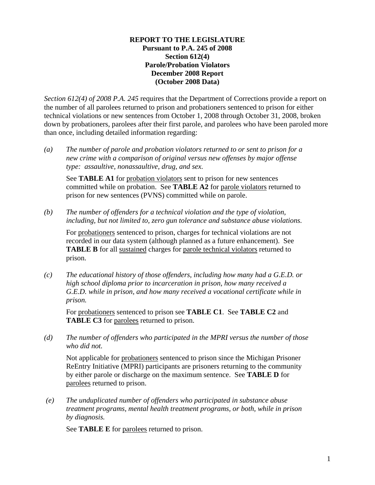#### **REPORT TO THE LEGISLATURE Pursuant to P.A. 245 of 2008 Section 612(4) Parole/Probation Violators December 2008 Report (October 2008 Data)**

*Section 612(4) of 2008 P.A. 245* requires that the Department of Corrections provide a report on the number of all parolees returned to prison and probationers sentenced to prison for either technical violations or new sentences from October 1, 2008 through October 31, 2008, broken down by probationers, parolees after their first parole, and parolees who have been paroled more than once, including detailed information regarding:

*(a) The number of parole and probation violators returned to or sent to prison for a new crime with a comparison of original versus new offenses by major offense type: assaultive, nonassaultive, drug, and sex.* 

See **TABLE A1** for probation violators sent to prison for new sentences committed while on probation. See **TABLE A2** for parole violators returned to prison for new sentences (PVNS) committed while on parole.

*(b) The number of offenders for a technical violation and the type of violation, including, but not limited to, zero gun tolerance and substance abuse violations.* 

For probationers sentenced to prison, charges for technical violations are not recorded in our data system (although planned as a future enhancement). See **TABLE B** for all sustained charges for parole technical violators returned to prison.

*(c) The educational history of those offenders, including how many had a G.E.D. or high school diploma prior to incarceration in prison, how many received a G.E.D. while in prison, and how many received a vocational certificate while in prison.* 

For probationers sentenced to prison see **TABLE C1**. See **TABLE C2** and **TABLE C3** for parolees returned to prison.

*(d) The number of offenders who participated in the MPRI versus the number of those who did not.* 

Not applicable for probationers sentenced to prison since the Michigan Prisoner ReEntry Initiative (MPRI) participants are prisoners returning to the community by either parole or discharge on the maximum sentence. See **TABLE D** for parolees returned to prison.

 *(e) The unduplicated number of offenders who participated in substance abuse treatment programs, mental health treatment programs, or both, while in prison by diagnosis.* 

See **TABLE E** for parolees returned to prison.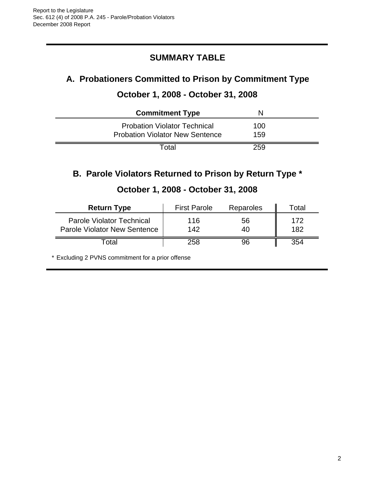# **SUMMARY TABLE**

# **A. Probationers Committed to Prison by Commitment Type**

### **October 1, 2008 - October 31, 2008**

| <b>Commitment Type</b>                 | N   |  |
|----------------------------------------|-----|--|
| <b>Probation Violator Technical</b>    | 100 |  |
| <b>Probation Violator New Sentence</b> | 159 |  |
| Total                                  | 259 |  |

# **B. Parole Violators Returned to Prison by Return Type \***

| <b>Return Type</b>                                                      | <b>First Parole</b> | Reparoles | Гоtal      |
|-------------------------------------------------------------------------|---------------------|-----------|------------|
| <b>Parole Violator Technical</b><br><b>Parole Violator New Sentence</b> | 116<br>142          | 56<br>40  | 172<br>182 |
| Гоtal                                                                   | 258                 | 96        | 354        |

### **October 1, 2008 - October 31, 2008**

\* Excluding 2 PVNS commitment for a prior offense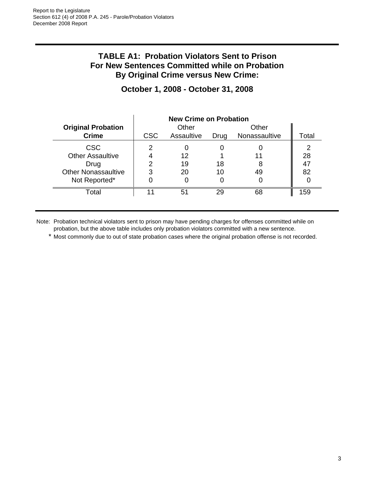#### **TABLE A1: Probation Violators Sent to Prison For New Sentences Committed while on Probation By Original Crime versus New Crime:**

|                            | <b>New Crime on Probation</b> |            |      |               |       |
|----------------------------|-------------------------------|------------|------|---------------|-------|
| <b>Original Probation</b>  |                               | Other      |      | Other         |       |
| <b>Crime</b>               | <b>CSC</b>                    | Assaultive | Drug | Nonassaultive | Total |
| <b>CSC</b>                 |                               |            |      |               | 2     |
| <b>Other Assaultive</b>    |                               | 12         |      |               | 28    |
| Drug                       |                               | 19         | 18   |               | 47    |
| <b>Other Nonassaultive</b> | 3                             | 20         | 10   | 49            | 82    |
| Not Reported*              |                               |            |      |               |       |
| Total                      |                               | 51         | 29   | 68            | 159   |

### **October 1, 2008 - October 31, 2008**

Note: Probation technical violators sent to prison may have pending charges for offenses committed while on probation, but the above table includes only probation violators committed with a new sentence.

\* Most commonly due to out of state probation cases where the original probation offense is not recorded.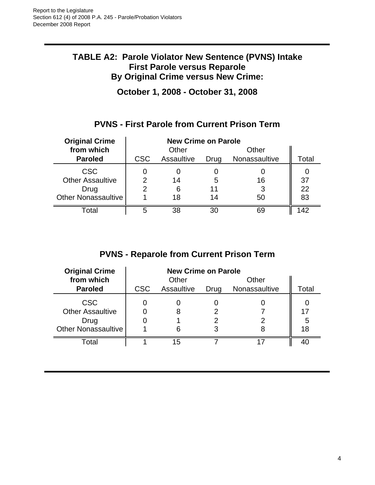#### **TABLE A2: Parole Violator New Sentence (PVNS) Intake First Parole versus Reparole By Original Crime versus New Crime:**

**October 1, 2008 - October 31, 2008**

# **PVNS - First Parole from Current Prison Term**

| <b>Original Crime</b>                         | <b>New Crime on Parole</b> |            |         |               |          |
|-----------------------------------------------|----------------------------|------------|---------|---------------|----------|
| from which                                    |                            | Other      |         | Other         |          |
| <b>Paroled</b>                                | <b>CSC</b>                 | Assaultive | Drug    | Nonassaultive | Total    |
| <b>CSC</b><br><b>Other Assaultive</b><br>Drug | 2                          | 14<br>6    | 5<br>11 | 16<br>3       | 37<br>22 |
| <b>Other Nonassaultive</b>                    |                            | 18         | 14      | 50            | 83       |
| Total                                         | 5                          | 38         | 30      | 69            | $\Delta$ |

# **PVNS - Reparole from Current Prison Term**

| <b>Original Crime</b>                                                       | <b>New Crime on Parole</b> |            |        |               |          |
|-----------------------------------------------------------------------------|----------------------------|------------|--------|---------------|----------|
| from which                                                                  |                            | Other      |        | Other         |          |
| <b>Paroled</b>                                                              | <b>CSC</b>                 | Assaultive | Drug   | Nonassaultive | Total    |
| <b>CSC</b><br><b>Other Assaultive</b><br>Drug<br><b>Other Nonassaultive</b> |                            |            | 2<br>3 | 8             | 17<br>18 |
| Total                                                                       |                            | 15         |        | 17            | 40       |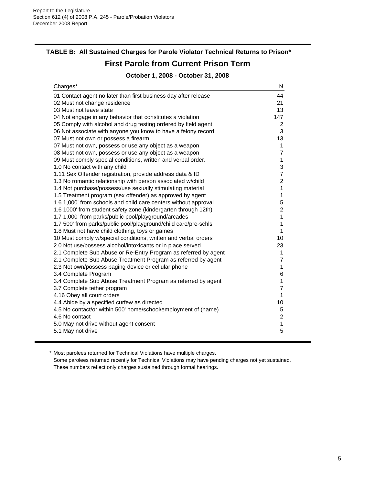# **TABLE B: All Sustained Charges for Parole Violator Technical Returns to Prison\***

#### **First Parole from Current Prison Term**

**October 1, 2008 - October 31, 2008**

| Charges*                                                        | N              |
|-----------------------------------------------------------------|----------------|
| 01 Contact agent no later than first business day after release | 44             |
| 02 Must not change residence                                    | 21             |
| 03 Must not leave state                                         | 13             |
| 04 Not engage in any behavior that constitutes a violation      | 147            |
| 05 Comply with alcohol and drug testing ordered by field agent  | $\overline{2}$ |
| 06 Not associate with anyone you know to have a felony record   | 3              |
| 07 Must not own or possess a firearm                            | 13             |
| 07 Must not own, possess or use any object as a weapon          | $\mathbf{1}$   |
| 08 Must not own, possess or use any object as a weapon          | $\overline{7}$ |
| 09 Must comply special conditions, written and verbal order.    | $\mathbf{1}$   |
| 1.0 No contact with any child                                   | 3              |
| 1.11 Sex Offender registration, provide address data & ID       | $\overline{7}$ |
| 1.3 No romantic relationship with person associated w/child     | $\overline{2}$ |
| 1.4 Not purchase/possess/use sexually stimulating material      | 1              |
| 1.5 Treatment program (sex offender) as approved by agent       | 1              |
| 1.6 1,000' from schools and child care centers without approval | 5              |
| 1.6 1000' from student safety zone (kindergarten through 12th)  | $\overline{c}$ |
| 1.7 1,000' from parks/public pool/playground/arcades            | 1              |
| 1.7 500' from parks/public pool/playground/child care/pre-schls | 1              |
| 1.8 Must not have child clothing, toys or games                 | $\mathbf{1}$   |
| 10 Must comply w/special conditions, written and verbal orders  | 10             |
| 2.0 Not use/possess alcohol/intoxicants or in place served      | 23             |
| 2.1 Complete Sub Abuse or Re-Entry Program as referred by agent | $\mathbf{1}$   |
| 2.1 Complete Sub Abuse Treatment Program as referred by agent   | $\overline{7}$ |
| 2.3 Not own/possess paging device or cellular phone             | 1              |
| 3.4 Complete Program                                            | 6              |
| 3.4 Complete Sub Abuse Treatment Program as referred by agent   | 1              |
| 3.7 Complete tether program                                     | $\overline{7}$ |
| 4.16 Obey all court orders                                      | $\mathbf{1}$   |
| 4.4 Abide by a specified curfew as directed                     | 10             |
| 4.5 No contact/or within 500' home/school/employment of (name)  | 5              |
| 4.6 No contact                                                  | $\overline{c}$ |
| 5.0 May not drive without agent consent                         | $\mathbf{1}$   |
| 5.1 May not drive                                               | 5              |
|                                                                 |                |

\* Most parolees returned for Technical Violations have multiple charges.

Some parolees returned recently for Technical Violations may have pending charges not yet sustained. These numbers reflect only charges sustained through formal hearings.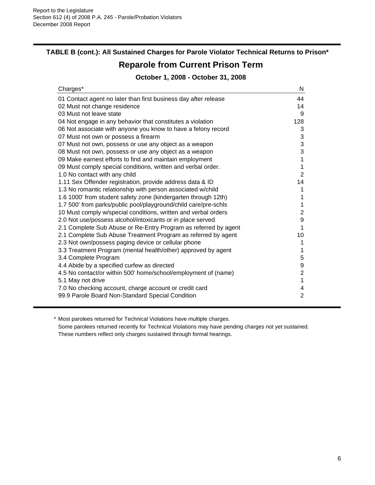#### **TABLE B (cont.): All Sustained Charges for Parole Violator Technical Returns to Prison\***

# **Reparole from Current Prison Term**

#### **October 1, 2008 - October 31, 2008**

| Charges*                                                        | N                         |
|-----------------------------------------------------------------|---------------------------|
| 01 Contact agent no later than first business day after release | 44                        |
| 02 Must not change residence                                    | 14                        |
| 03 Must not leave state                                         | 9                         |
| 04 Not engage in any behavior that constitutes a violation      | 128                       |
| 06 Not associate with anyone you know to have a felony record   | 3                         |
| 07 Must not own or possess a firearm                            | $\ensuremath{\mathsf{3}}$ |
| 07 Must not own, possess or use any object as a weapon          | 3                         |
| 08 Must not own, possess or use any object as a weapon          | 3                         |
| 09 Make earnest efforts to find and maintain employment         | $\mathbf 1$               |
| 09 Must comply special conditions, written and verbal order.    | $\mathbf 1$               |
| 1.0 No contact with any child                                   | $\overline{2}$            |
| 1.11 Sex Offender registration, provide address data & ID       | 14                        |
| 1.3 No romantic relationship with person associated w/child     | 1                         |
| 1.6 1000' from student safety zone (kindergarten through 12th)  | 1                         |
| 1.7 500' from parks/public pool/playground/child care/pre-schls | 1                         |
| 10 Must comply w/special conditions, written and verbal orders  | $\overline{2}$            |
| 2.0 Not use/possess alcohol/intoxicants or in place served      | 9                         |
| 2.1 Complete Sub Abuse or Re-Entry Program as referred by agent | 1                         |
| 2.1 Complete Sub Abuse Treatment Program as referred by agent   | 10                        |
| 2.3 Not own/possess paging device or cellular phone             | 1                         |
| 3.3 Treatment Program (mental health/other) approved by agent   | 1                         |
| 3.4 Complete Program                                            | 5                         |
| 4.4 Abide by a specified curfew as directed                     | 9                         |
| 4.5 No contact/or within 500' home/school/employment of (name)  | $\overline{2}$            |
| 5.1 May not drive                                               | $\mathbf{1}$              |
| 7.0 No checking account, charge account or credit card          | 4                         |
| 99.9 Parole Board Non-Standard Special Condition                | $\overline{2}$            |

\* Most parolees returned for Technical Violations have multiple charges.

Some parolees returned recently for Technical Violations may have pending charges not yet sustained. These numbers reflect only charges sustained through formal hearings.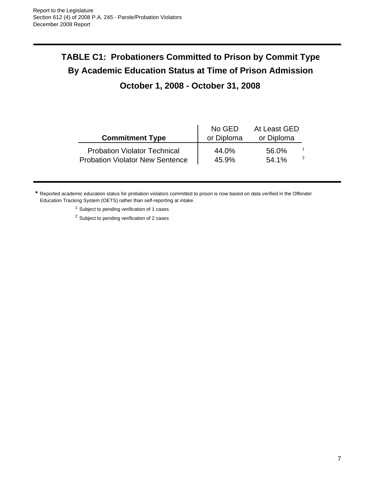# **TABLE C1: Probationers Committed to Prison by Commit Type By Academic Education Status at Time of Prison Admission**

# **October 1, 2008 - October 31, 2008**

| <b>Commitment Type</b>                 | No GED<br>or Diploma | At Least GED<br>or Diploma |               |
|----------------------------------------|----------------------|----------------------------|---------------|
| <b>Probation Violator Technical</b>    | 44.0%                | 56.0%                      | $\mathcal{P}$ |
| <b>Probation Violator New Sentence</b> | 45.9%                | 54.1%                      |               |

**\*** Reported academic education status for probation violators committed to prison is now based on data verified in the Offender Education Tracking System (OETS) rather than self-reporting at intake.

<sup>1</sup> Subject to pending verification of 1 cases

<sup>2</sup> Subject to pending verification of 2 cases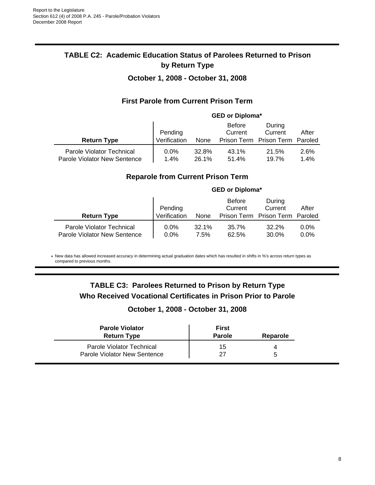#### **TABLE C2: Academic Education Status of Parolees Returned to Prison by Return Type**

#### **October 1, 2008 - October 31, 2008**

#### **First Parole from Current Prison Term**

|                                                           | <b>GED or Diploma*</b> |                |                          |                                 |              |
|-----------------------------------------------------------|------------------------|----------------|--------------------------|---------------------------------|--------------|
|                                                           | Pending                |                | <b>Before</b><br>Current | During<br>Current               | After        |
| <b>Return Type</b>                                        | Verification           | None           |                          | Prison Term Prison Term Paroled |              |
| Parole Violator Technical<br>Parole Violator New Sentence | 0.0%<br>1.4%           | 32.8%<br>26.1% | 43.1%<br>51.4%           | 21.5%<br>19.7%                  | 2.6%<br>1.4% |

#### **Reparole from Current Prison Term**

|                                                           |                         |               | <b>GED or Diploma*</b>   |                                                      |                    |
|-----------------------------------------------------------|-------------------------|---------------|--------------------------|------------------------------------------------------|--------------------|
| <b>Return Type</b>                                        | Pending<br>Verification | None          | <b>Before</b><br>Current | During<br>Current<br>Prison Term Prison Term Paroled | After              |
| Parole Violator Technical<br>Parole Violator New Sentence | $0.0\%$<br>$0.0\%$      | 32.1%<br>7.5% | 35.7%<br>62.5%           | 32.2%<br>30.0%                                       | $0.0\%$<br>$0.0\%$ |

\* New data has allowed increased accuracy in determining actual graduation dates which has resulted in shifts in %'s across return types as compared to previous months.

#### **TABLE C3: Parolees Returned to Prison by Return Type Who Received Vocational Certificates in Prison Prior to Parole**

#### **October 1, 2008 - October 31, 2008**

| <b>Parole Violator</b><br><b>Return Type</b> | First<br><b>Parole</b> | Reparole |
|----------------------------------------------|------------------------|----------|
| Parole Violator Technical                    | 15                     | 4        |
| Parole Violator New Sentence                 | 27                     | b        |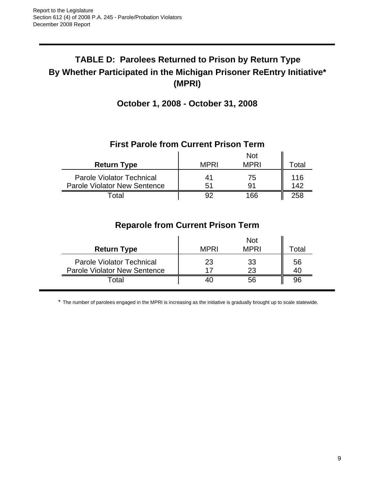# **TABLE D: Parolees Returned to Prison by Return Type By Whether Participated in the Michigan Prisoner ReEntry Initiative\* (MPRI)**

**October 1, 2008 - October 31, 2008**

### **First Parole from Current Prison Term**

|                                                                         |             | <b>Not</b>  |            |
|-------------------------------------------------------------------------|-------------|-------------|------------|
| <b>Return Type</b>                                                      | <b>MPRI</b> | <b>MPRI</b> | Total      |
| <b>Parole Violator Technical</b><br><b>Parole Violator New Sentence</b> | 41<br>51    | 75<br>91    | 116<br>142 |
| <sup>-</sup> otal                                                       | 92          | 166         | 258        |

# **Reparole from Current Prison Term**

| <b>Return Type</b>                                                      | <b>MPRI</b> | <b>Not</b><br><b>MPRI</b> | Total    |
|-------------------------------------------------------------------------|-------------|---------------------------|----------|
| <b>Parole Violator Technical</b><br><b>Parole Violator New Sentence</b> | 23<br>17    | 33<br>23                  | 56<br>40 |
| Гоtal                                                                   | 40          | 56                        | 96       |

\* The number of parolees engaged in the MPRI is increasing as the initiative is gradually brought up to scale statewide.